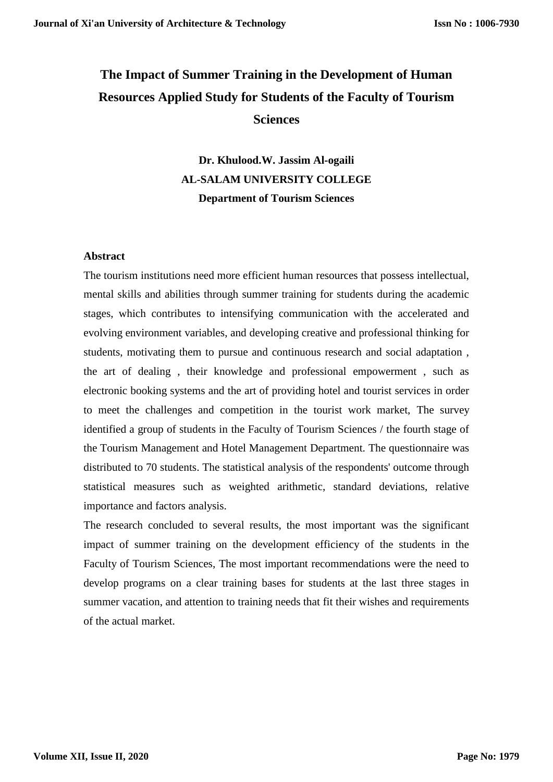# **The Impact of Summer Training in the Development of Human Resources Applied Study for Students of the Faculty of Tourism Sciences**

**Dr. Khulood.W. Jassim Al-ogaili AL-SALAM UNIVERSITY COLLEGE Department of Tourism Sciences**

## **Abstract**

The tourism institutions need more efficient human resources that possess intellectual, mental skills and abilities through summer training for students during the academic stages, which contributes to intensifying communication with the accelerated and evolving environment variables, and developing creative and professional thinking for students, motivating them to pursue and continuous research and social adaptation , the art of dealing , their knowledge and professional empowerment , such as electronic booking systems and the art of providing hotel and tourist services in order to meet the challenges and competition in the tourist work market, The survey identified a group of students in the Faculty of Tourism Sciences / the fourth stage of the Tourism Management and Hotel Management Department. The questionnaire was distributed to 70 students. The statistical analysis of the respondents' outcome through statistical measures such as weighted arithmetic, standard deviations, relative importance and factors analysis.

The research concluded to several results, the most important was the significant impact of summer training on the development efficiency of the students in the Faculty of Tourism Sciences, The most important recommendations were the need to develop programs on a clear training bases for students at the last three stages in summer vacation, and attention to training needs that fit their wishes and requirements of the actual market.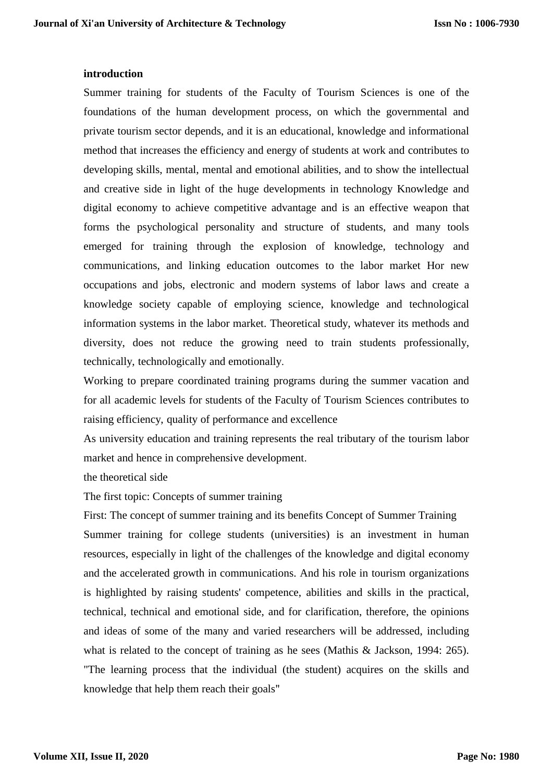## **introduction**

Summer training for students of the Faculty of Tourism Sciences is one of the foundations of the human development process, on which the governmental and private tourism sector depends, and it is an educational, knowledge and informational method that increases the efficiency and energy of students at work and contributes to developing skills, mental, mental and emotional abilities, and to show the intellectual and creative side in light of the huge developments in technology Knowledge and digital economy to achieve competitive advantage and is an effective weapon that forms the psychological personality and structure of students, and many tools emerged for training through the explosion of knowledge, technology and communications, and linking education outcomes to the labor market Hor new occupations and jobs, electronic and modern systems of labor laws and create a knowledge society capable of employing science, knowledge and technological information systems in the labor market. Theoretical study, whatever its methods and diversity, does not reduce the growing need to train students professionally, technically, technologically and emotionally.

Working to prepare coordinated training programs during the summer vacation and for all academic levels for students of the Faculty of Tourism Sciences contributes to raising efficiency, quality of performance and excellence

As university education and training represents the real tributary of the tourism labor market and hence in comprehensive development.

the theoretical side

The first topic: Concepts of summer training

First: The concept of summer training and its benefits Concept of Summer Training Summer training for college students (universities) is an investment in human resources, especially in light of the challenges of the knowledge and digital economy and the accelerated growth in communications. And his role in tourism organizations is highlighted by raising students' competence, abilities and skills in the practical, technical, technical and emotional side, and for clarification, therefore, the opinions and ideas of some of the many and varied researchers will be addressed, including what is related to the concept of training as he sees (Mathis & Jackson, 1994: 265). "The learning process that the individual (the student) acquires on the skills and knowledge that help them reach their goals"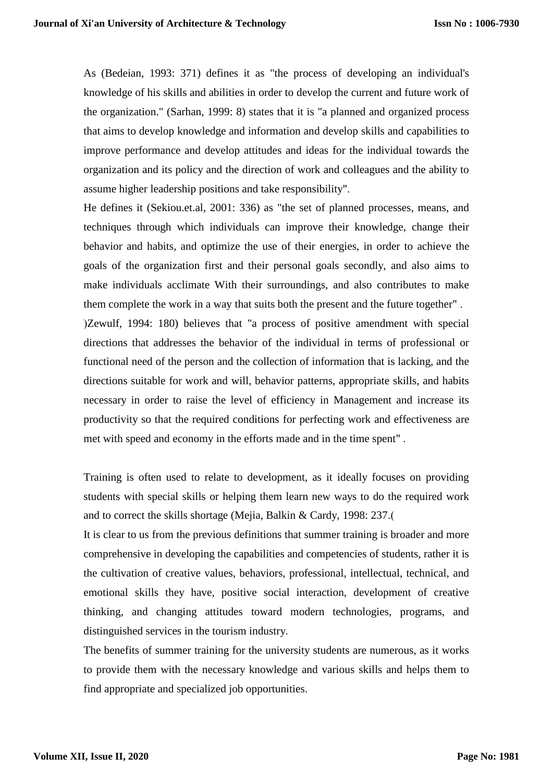As (Bedeian, 1993: 371) defines it as "the process of developing an individual's knowledge of his skills and abilities in order to develop the current and future work of the organization." (Sarhan, 1999: 8) states that it is "a planned and organized process that aims to develop knowledge and information and develop skills and capabilities to improve performance and develop attitudes and ideas for the individual towards the organization and its policy and the direction of work and colleagues and the ability to assume higher leadership positions and take responsibility".

He defines it (Sekiou.et.al, 2001: 336) as "the set of planned processes, means, and techniques through which individuals can improve their knowledge, change their behavior and habits, and optimize the use of their energies, in order to achieve the goals of the organization first and their personal goals secondly, and also aims to make individuals acclimate With their surroundings, and also contributes to make them complete the work in a way that suits both the present and the future together" . )Zewulf, 1994: 180) believes that "a process of positive amendment with special directions that addresses the behavior of the individual in terms of professional or functional need of the person and the collection of information that is lacking, and the directions suitable for work and will, behavior patterns, appropriate skills, and habits necessary in order to raise the level of efficiency in Management and increase its productivity so that the required conditions for perfecting work and effectiveness are met with speed and economy in the efforts made and in the time spent" .

Training is often used to relate to development, as it ideally focuses on providing students with special skills or helping them learn new ways to do the required work and to correct the skills shortage (Mejia, Balkin & Cardy, 1998: 237.

It is clear to us from the previous definitions that summer training is broader and more comprehensive in developing the capabilities and competencies of students, rather it is the cultivation of creative values, behaviors, professional, intellectual, technical, and emotional skills they have, positive social interaction, development of creative thinking, and changing attitudes toward modern technologies, programs, and distinguished services in the tourism industry.

The benefits of summer training for the university students are numerous, as it works to provide them with the necessary knowledge and various skills and helps them to find appropriate and specialized job opportunities.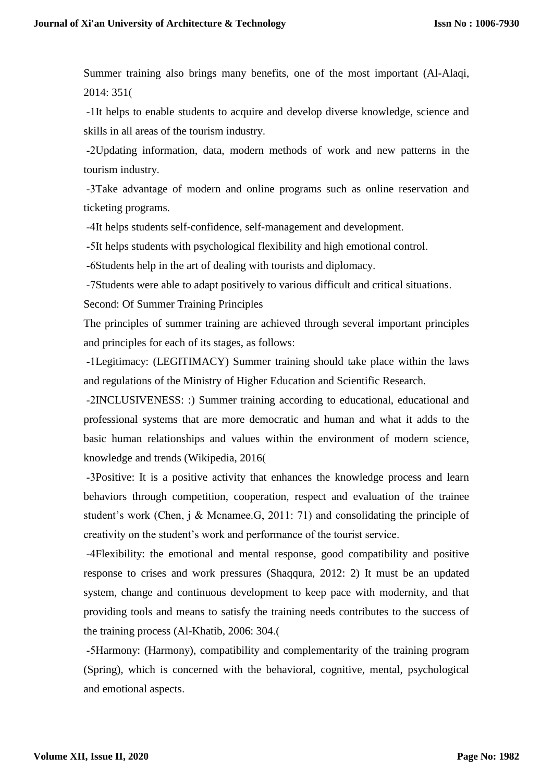Summer training also brings many benefits, one of the most important (Al-Alaqi, 2014: 351)

-1It helps to enable students to acquire and develop diverse knowledge, science and skills in all areas of the tourism industry.

-2Updating information, data, modern methods of work and new patterns in the tourism industry.

-3Take advantage of modern and online programs such as online reservation and ticketing programs.

-4It helps students self-confidence, self-management and development.

-5It helps students with psychological flexibility and high emotional control.

-6Students help in the art of dealing with tourists and diplomacy.

-7Students were able to adapt positively to various difficult and critical situations.

Second: Of Summer Training Principles

The principles of summer training are achieved through several important principles and principles for each of its stages, as follows:

-1Legitimacy: (LEGITIMACY) Summer training should take place within the laws and regulations of the Ministry of Higher Education and Scientific Research.

-2INCLUSIVENESS: :) Summer training according to educational, educational and professional systems that are more democratic and human and what it adds to the basic human relationships and values within the environment of modern science, knowledge and trends (Wikipedia, 2016)

-3Positive: It is a positive activity that enhances the knowledge process and learn behaviors through competition, cooperation, respect and evaluation of the trainee student's work (Chen, j & Mcnamee.G, 2011: 71) and consolidating the principle of creativity on the student's work and performance of the tourist service.

-4Flexibility: the emotional and mental response, good compatibility and positive response to crises and work pressures (Shaqqura, 2012: 2) It must be an updated system, change and continuous development to keep pace with modernity, and that providing tools and means to satisfy the training needs contributes to the success of the training process (Al-Khatib, 2006: 304.)

-5Harmony: (Harmony), compatibility and complementarity of the training program (Spring), which is concerned with the behavioral, cognitive, mental, psychological and emotional aspects.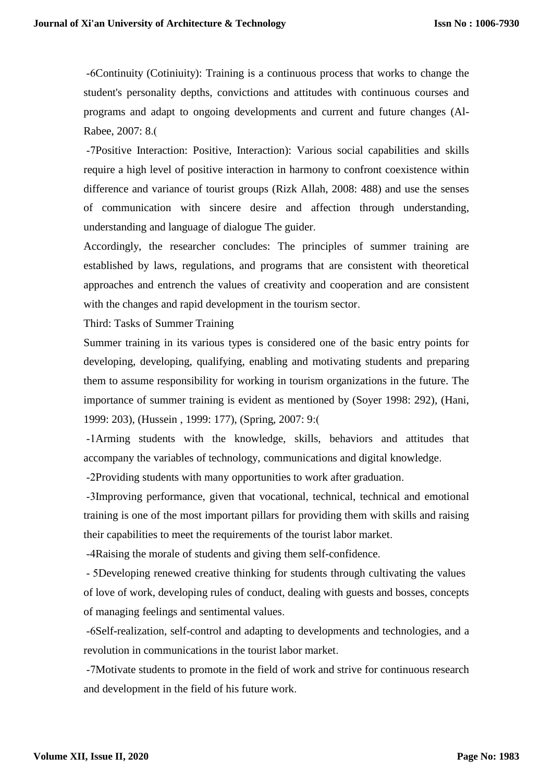-6Continuity (Cotiniuity): Training is a continuous process that works to change the student's personality depths, convictions and attitudes with continuous courses and programs and adapt to ongoing developments and current and future changes (Al-Rabee, 2007: 8.)

-7Positive Interaction: Positive, Interaction): Various social capabilities and skills require a high level of positive interaction in harmony to confront coexistence within difference and variance of tourist groups (Rizk Allah, 2008: 488) and use the senses of communication with sincere desire and affection through understanding, understanding and language of dialogue The guider.

Accordingly, the researcher concludes: The principles of summer training are established by laws, regulations, and programs that are consistent with theoretical approaches and entrench the values of creativity and cooperation and are consistent with the changes and rapid development in the tourism sector.

Third: Tasks of Summer Training

Summer training in its various types is considered one of the basic entry points for developing, developing, qualifying, enabling and motivating students and preparing them to assume responsibility for working in tourism organizations in the future. The importance of summer training is evident as mentioned by (Soyer 1998: 292), (Hani, 1999: 203), (Hussein, 1999: 177), (Spring, 2007: 9:(

-1Arming students with the knowledge, skills, behaviors and attitudes that accompany the variables of technology, communications and digital knowledge.

-2Providing students with many opportunities to work after graduation.

-3Improving performance, given that vocational, technical, technical and emotional training is one of the most important pillars for providing them with skills and raising their capabilities to meet the requirements of the tourist labor market.

-4Raising the morale of students and giving them self-confidence.

- 5Developing renewed creative thinking for students through cultivating the values of love of work, developing rules of conduct, dealing with guests and bosses, concepts of managing feelings and sentimental values.

-6Self-realization, self-control and adapting to developments and technologies, and a revolution in communications in the tourist labor market.

-7Motivate students to promote in the field of work and strive for continuous research and development in the field of his future work.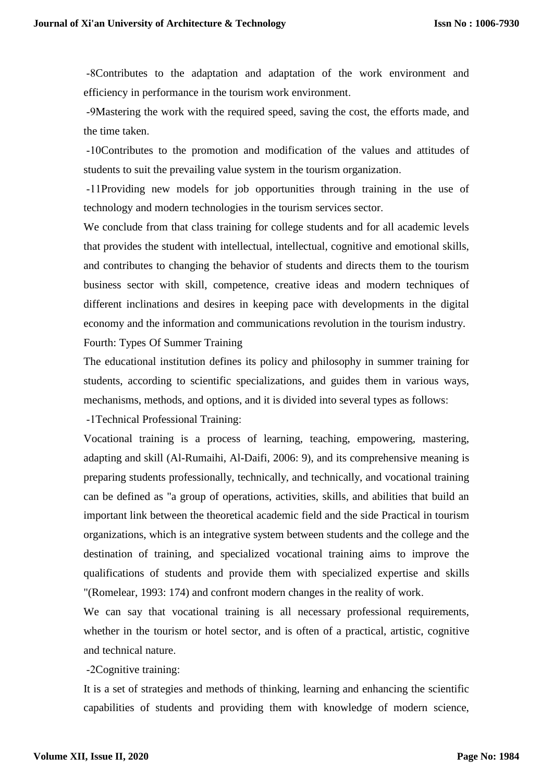-8Contributes to the adaptation and adaptation of the work environment and efficiency in performance in the tourism work environment.

-9Mastering the work with the required speed, saving the cost, the efforts made, and the time taken.

-10Contributes to the promotion and modification of the values and attitudes of students to suit the prevailing value system in the tourism organization.

-11Providing new models for job opportunities through training in the use of technology and modern technologies in the tourism services sector.

We conclude from that class training for college students and for all academic levels that provides the student with intellectual, intellectual, cognitive and emotional skills, and contributes to changing the behavior of students and directs them to the tourism business sector with skill, competence, creative ideas and modern techniques of different inclinations and desires in keeping pace with developments in the digital economy and the information and communications revolution in the tourism industry. Fourth: Types Of Summer Training

The educational institution defines its policy and philosophy in summer training for students, according to scientific specializations, and guides them in various ways, mechanisms, methods, and options, and it is divided into several types as follows:

-1Technical Professional Training:

Vocational training is a process of learning, teaching, empowering, mastering, adapting and skill (Al-Rumaihi, Al-Daifi, 2006: 9), and its comprehensive meaning is preparing students professionally, technically, and technically, and vocational training can be defined as "a group of operations, activities, skills, and abilities that build an important link between the theoretical academic field and the side Practical in tourism organizations, which is an integrative system between students and the college and the destination of training, and specialized vocational training aims to improve the qualifications of students and provide them with specialized expertise and skills "(Romelear, 1993: 174) and confront modern changes in the reality of work.

We can say that vocational training is all necessary professional requirements, whether in the tourism or hotel sector, and is often of a practical, artistic, cognitive and technical nature.

-2Cognitive training:

It is a set of strategies and methods of thinking, learning and enhancing the scientific capabilities of students and providing them with knowledge of modern science,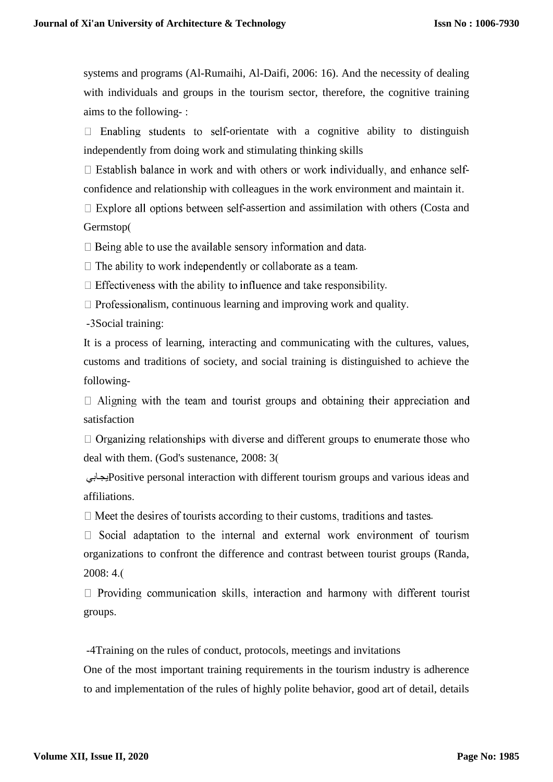systems and programs (Al-Rumaihi, Al-Daifi, 2006: 16). And the necessity of dealing with individuals and groups in the tourism sector, therefore, the cognitive training aims to the following- :

 $\Box$  Enabling students to self-orientate with a cognitive ability to distinguish independently from doing work and stimulating thinking skills

 $\Box$  Establish balance in work and with others or work individually, and enhance selfconfidence and relationship with colleagues in the work environment and maintain it.

 $\Box$  Explore all options between self-assertion and assimilation with others (Costa and Germstop(

 $\Box$  Being able to use the available sensory information and data.

 $\Box$  The ability to work independently or collaborate as a team.

 $\Box$  Effectiveness with the ability to influence and take responsibility.

 $\Box$  Professionalism, continuous learning and improving work and quality.

-3Social training:

It is a process of learning, interacting and communicating with the cultures, values, customs and traditions of society, and social training is distinguished to achieve the following-

 $\Box$  Aligning with the team and tourist groups and obtaining their appreciation and satisfaction

 $\Box$  Organizing relationships with diverse and different groups to enumerate those who deal with them. (God's sustenance, 2008: 3)

 يجابيPositive personal interaction with different tourism groups and various ideas and affiliations.

 $\Box$  Meet the desires of tourists according to their customs, traditions and tastes.

 $\Box$  Social adaptation to the internal and external work environment of tourism organizations to confront the difference and contrast between tourist groups (Randa, 2008: 4.)

 $\Box$  Providing communication skills, interaction and harmony with different tourist groups.

-4Training on the rules of conduct, protocols, meetings and invitations

One of the most important training requirements in the tourism industry is adherence to and implementation of the rules of highly polite behavior, good art of detail, details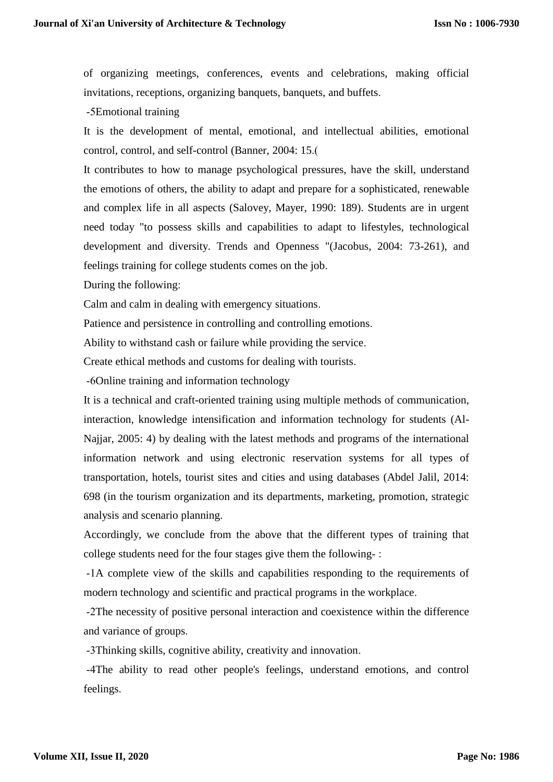of organizing meetings, conferences, events and celebrations, making official invitations, receptions, organizing banquets, banquets, and buffets.

-5Emotional training

It is the development of mental, emotional, and intellectual abilities, emotional control, control, and self-control (Banner, 2004: 15.)

It contributes to how to manage psychological pressures, have the skill, understand the emotions of others, the ability to adapt and prepare for a sophisticated, renewable and complex life in all aspects (Salovey, Mayer, 1990: 189). Students are in urgent need today "to possess skills and capabilities to adapt to lifestyles, technological development and diversity. Trends and Openness "(Jacobus, 2004: 73-261), and feelings training for college students comes on the job.

During the following:

Calm and calm in dealing with emergency situations.

Patience and persistence in controlling and controlling emotions.

Ability to withstand cash or failure while providing the service.

Create ethical methods and customs for dealing with tourists.

-6Online training and information technology

It is a technical and craft-oriented training using multiple methods of communication, interaction, knowledge intensification and information technology for students (Al-Najjar, 2005: 4) by dealing with the latest methods and programs of the international information network and using electronic reservation systems for all types of transportation, hotels, tourist sites and cities and using databases (Abdel Jalil, 2014: 698 (in the tourism organization and its departments, marketing, promotion, strategic analysis and scenario planning.

Accordingly, we conclude from the above that the different types of training that college students need for the four stages give them the following- :

-1A complete view of the skills and capabilities responding to the requirements of modern technology and scientific and practical programs in the workplace.

-2The necessity of positive personal interaction and coexistence within the difference and variance of groups.

-3Thinking skills, cognitive ability, creativity and innovation.

-4The ability to read other people's feelings, understand emotions, and control feelings.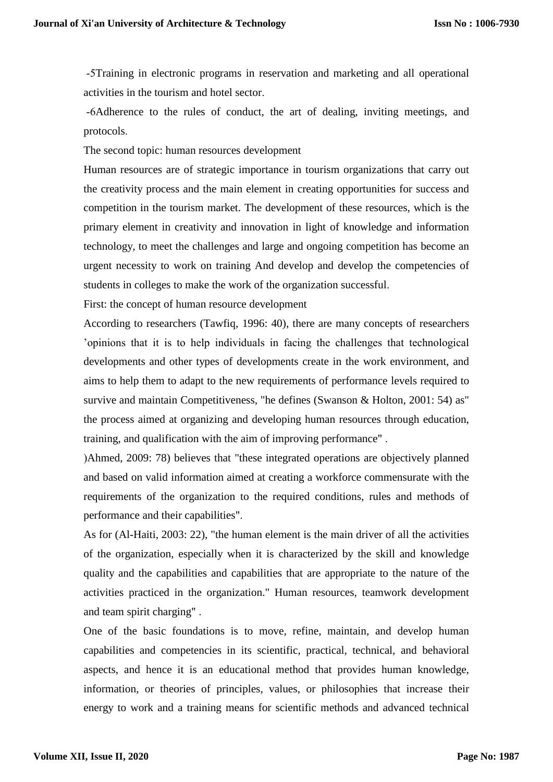-5Training in electronic programs in reservation and marketing and all operational activities in the tourism and hotel sector.

-6Adherence to the rules of conduct, the art of dealing, inviting meetings, and protocols.

The second topic: human resources development

Human resources are of strategic importance in tourism organizations that carry out the creativity process and the main element in creating opportunities for success and competition in the tourism market. The development of these resources, which is the primary element in creativity and innovation in light of knowledge and information technology, to meet the challenges and large and ongoing competition has become an urgent necessity to work on training And develop and develop the competencies of students in colleges to make the work of the organization successful.

First: the concept of human resource development

According to researchers (Tawfiq, 1996: 40), there are many concepts of researchers 'opinions that it is to help individuals in facing the challenges that technological developments and other types of developments create in the work environment, and aims to help them to adapt to the new requirements of performance levels required to survive and maintain Competitiveness, "he defines (Swanson & Holton, 2001: 54) as" the process aimed at organizing and developing human resources through education, training, and qualification with the aim of improving performance" .

(Ahmed, 2009: 78) believes that "these integrated operations are objectively planned and based on valid information aimed at creating a workforce commensurate with the requirements of the organization to the required conditions, rules and methods of performance and their capabilities".

As for (Al-Haiti, 2003: 22), "the human element is the main driver of all the activities of the organization, especially when it is characterized by the skill and knowledge quality and the capabilities and capabilities that are appropriate to the nature of the activities practiced in the organization." Human resources, teamwork development and team spirit charging" .

One of the basic foundations is to move, refine, maintain, and develop human capabilities and competencies in its scientific, practical, technical, and behavioral aspects, and hence it is an educational method that provides human knowledge, information, or theories of principles, values, or philosophies that increase their energy to work and a training means for scientific methods and advanced technical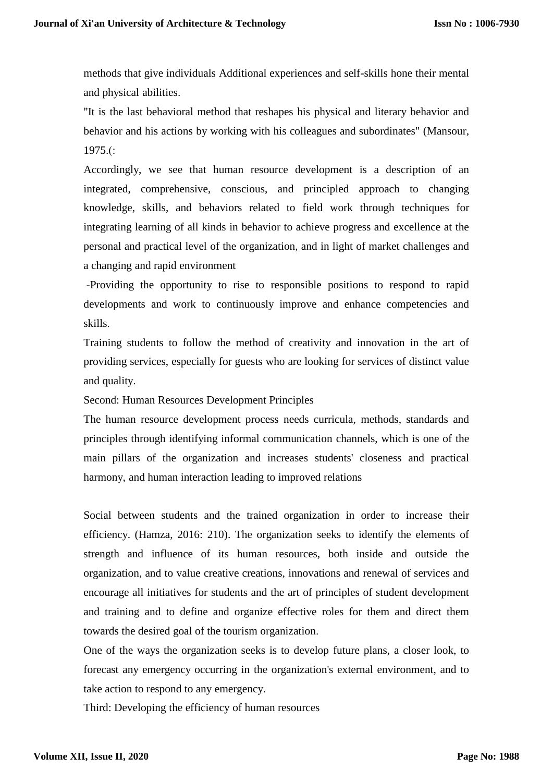methods that give individuals Additional experiences and self-skills hone their mental and physical abilities.

"It is the last behavioral method that reshapes his physical and literary behavior and behavior and his actions by working with his colleagues and subordinates" (Mansour,  $1975.$ (:

Accordingly, we see that human resource development is a description of an integrated, comprehensive, conscious, and principled approach to changing knowledge, skills, and behaviors related to field work through techniques for integrating learning of all kinds in behavior to achieve progress and excellence at the personal and practical level of the organization, and in light of market challenges and a changing and rapid environment

-Providing the opportunity to rise to responsible positions to respond to rapid developments and work to continuously improve and enhance competencies and skills.

Training students to follow the method of creativity and innovation in the art of providing services, especially for guests who are looking for services of distinct value and quality.

Second: Human Resources Development Principles

The human resource development process needs curricula, methods, standards and principles through identifying informal communication channels, which is one of the main pillars of the organization and increases students' closeness and practical harmony, and human interaction leading to improved relations

Social between students and the trained organization in order to increase their efficiency. (Hamza, 2016: 210). The organization seeks to identify the elements of strength and influence of its human resources, both inside and outside the organization, and to value creative creations, innovations and renewal of services and encourage all initiatives for students and the art of principles of student development and training and to define and organize effective roles for them and direct them towards the desired goal of the tourism organization.

One of the ways the organization seeks is to develop future plans, a closer look, to forecast any emergency occurring in the organization's external environment, and to take action to respond to any emergency.

Third: Developing the efficiency of human resources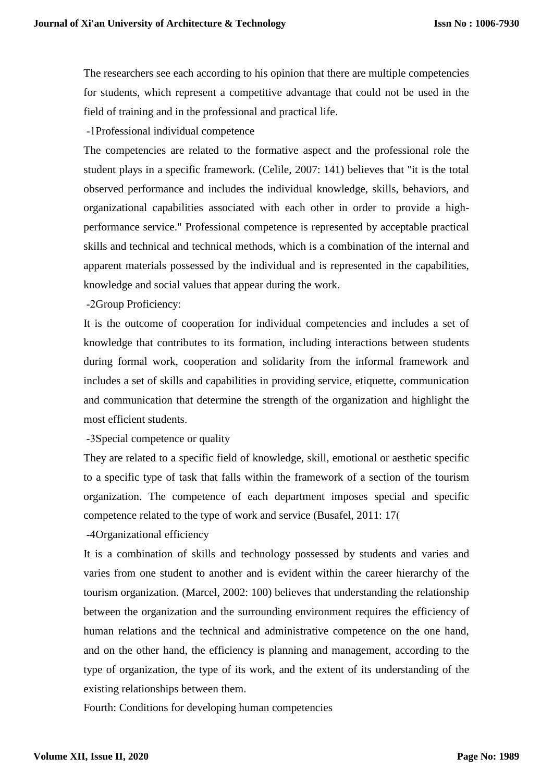The researchers see each according to his opinion that there are multiple competencies for students, which represent a competitive advantage that could not be used in the field of training and in the professional and practical life.

-1Professional individual competence

The competencies are related to the formative aspect and the professional role the student plays in a specific framework. (Celile, 2007: 141) believes that "it is the total observed performance and includes the individual knowledge, skills, behaviors, and organizational capabilities associated with each other in order to provide a highperformance service." Professional competence is represented by acceptable practical skills and technical and technical methods, which is a combination of the internal and apparent materials possessed by the individual and is represented in the capabilities, knowledge and social values that appear during the work.

-2Group Proficiency:

It is the outcome of cooperation for individual competencies and includes a set of knowledge that contributes to its formation, including interactions between students during formal work, cooperation and solidarity from the informal framework and includes a set of skills and capabilities in providing service, etiquette, communication and communication that determine the strength of the organization and highlight the most efficient students.

-3Special competence or quality

They are related to a specific field of knowledge, skill, emotional or aesthetic specific to a specific type of task that falls within the framework of a section of the tourism organization. The competence of each department imposes special and specific competence related to the type of work and service (Busafel, 2011: 17)

-4Organizational efficiency

It is a combination of skills and technology possessed by students and varies and varies from one student to another and is evident within the career hierarchy of the tourism organization. (Marcel, 2002: 100) believes that understanding the relationship between the organization and the surrounding environment requires the efficiency of human relations and the technical and administrative competence on the one hand, and on the other hand, the efficiency is planning and management, according to the type of organization, the type of its work, and the extent of its understanding of the existing relationships between them.

Fourth: Conditions for developing human competencies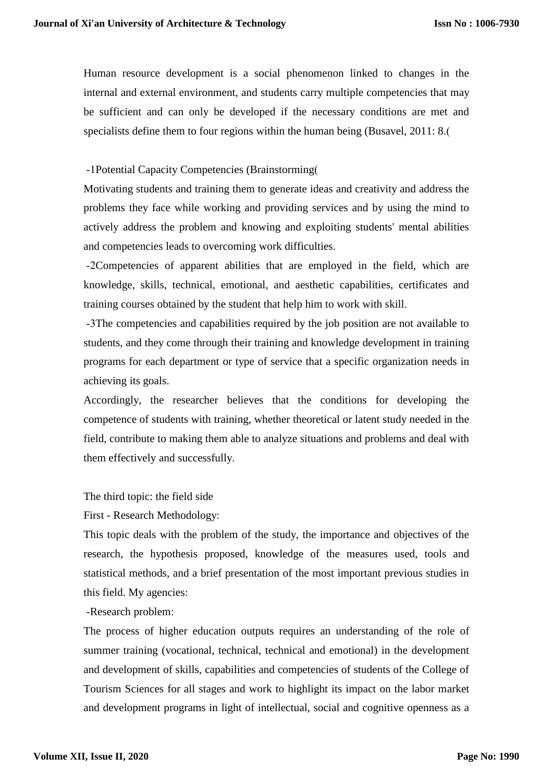Human resource development is a social phenomenon linked to changes in the internal and external environment, and students carry multiple competencies that may be sufficient and can only be developed if the necessary conditions are met and specialists define them to four regions within the human being (Busavel, 2011: 8.)

# -1Potential Capacity Competencies (Brainstorming)

Motivating students and training them to generate ideas and creativity and address the problems they face while working and providing services and by using the mind to actively address the problem and knowing and exploiting students' mental abilities and competencies leads to overcoming work difficulties.

-2Competencies of apparent abilities that are employed in the field, which are knowledge, skills, technical, emotional, and aesthetic capabilities, certificates and training courses obtained by the student that help him to work with skill.

-3The competencies and capabilities required by the job position are not available to students, and they come through their training and knowledge development in training programs for each department or type of service that a specific organization needs in achieving its goals.

Accordingly, the researcher believes that the conditions for developing the competence of students with training, whether theoretical or latent study needed in the field, contribute to making them able to analyze situations and problems and deal with them effectively and successfully.

The third topic: the field side

First - Research Methodology:

This topic deals with the problem of the study, the importance and objectives of the research, the hypothesis proposed, knowledge of the measures used, tools and statistical methods, and a brief presentation of the most important previous studies in this field. My agencies:

-Research problem:

The process of higher education outputs requires an understanding of the role of summer training (vocational, technical, technical and emotional) in the development and development of skills, capabilities and competencies of students of the College of Tourism Sciences for all stages and work to highlight its impact on the labor market and development programs in light of intellectual, social and cognitive openness as a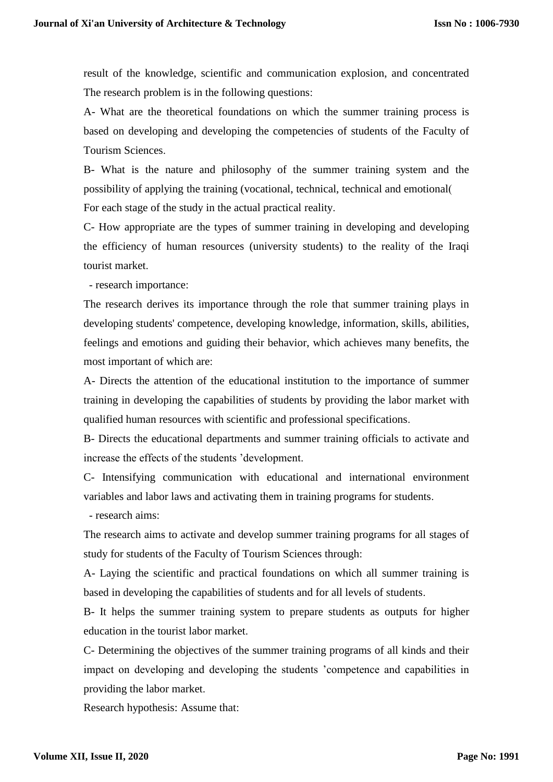result of the knowledge, scientific and communication explosion, and concentrated The research problem is in the following questions:

A- What are the theoretical foundations on which the summer training process is based on developing and developing the competencies of students of the Faculty of Tourism Sciences.

B- What is the nature and philosophy of the summer training system and the possibility of applying the training (vocational, technical, technical and emotional) For each stage of the study in the actual practical reality.

C- How appropriate are the types of summer training in developing and developing the efficiency of human resources (university students) to the reality of the Iraqi tourist market.

- research importance:

The research derives its importance through the role that summer training plays in developing students' competence, developing knowledge, information, skills, abilities, feelings and emotions and guiding their behavior, which achieves many benefits, the most important of which are:

A- Directs the attention of the educational institution to the importance of summer training in developing the capabilities of students by providing the labor market with qualified human resources with scientific and professional specifications.

B- Directs the educational departments and summer training officials to activate and increase the effects of the students 'development.

C- Intensifying communication with educational and international environment variables and labor laws and activating them in training programs for students.

- research aims:

The research aims to activate and develop summer training programs for all stages of study for students of the Faculty of Tourism Sciences through:

A- Laying the scientific and practical foundations on which all summer training is based in developing the capabilities of students and for all levels of students.

B- It helps the summer training system to prepare students as outputs for higher education in the tourist labor market.

C- Determining the objectives of the summer training programs of all kinds and their impact on developing and developing the students 'competence and capabilities in providing the labor market.

Research hypothesis: Assume that: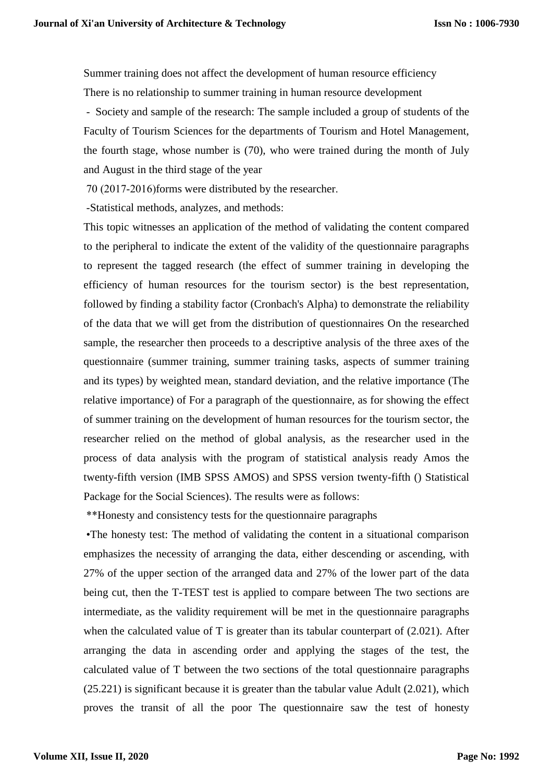Summer training does not affect the development of human resource efficiency There is no relationship to summer training in human resource development

- Society and sample of the research: The sample included a group of students of the Faculty of Tourism Sciences for the departments of Tourism and Hotel Management, the fourth stage, whose number is (70), who were trained during the month of July and August in the third stage of the year

70 (2017-2016) forms were distributed by the researcher.

-Statistical methods, analyzes, and methods:

This topic witnesses an application of the method of validating the content compared to the peripheral to indicate the extent of the validity of the questionnaire paragraphs to represent the tagged research (the effect of summer training in developing the efficiency of human resources for the tourism sector) is the best representation, followed by finding a stability factor (Cronbach's Alpha) to demonstrate the reliability of the data that we will get from the distribution of questionnaires On the researched sample, the researcher then proceeds to a descriptive analysis of the three axes of the questionnaire (summer training, summer training tasks, aspects of summer training and its types) by weighted mean, standard deviation, and the relative importance (The relative importance) of For a paragraph of the questionnaire, as for showing the effect of summer training on the development of human resources for the tourism sector, the researcher relied on the method of global analysis, as the researcher used in the process of data analysis with the program of statistical analysis ready Amos the twenty-fifth version (IMB SPSS AMOS) and SPSS version twenty-fifth () Statistical Package for the Social Sciences). The results were as follows:

\*\*Honesty and consistency tests for the questionnaire paragraphs

 •The honesty test: The method of validating the content in a situational comparison emphasizes the necessity of arranging the data, either descending or ascending, with 27% of the upper section of the arranged data and 27% of the lower part of the data being cut, then the T-TEST test is applied to compare between The two sections are intermediate, as the validity requirement will be met in the questionnaire paragraphs when the calculated value of T is greater than its tabular counterpart of  $(2.021)$ . After arranging the data in ascending order and applying the stages of the test, the calculated value of T between the two sections of the total questionnaire paragraphs (25.221) is significant because it is greater than the tabular value Adult (2.021), which proves the transit of all the poor The questionnaire saw the test of honesty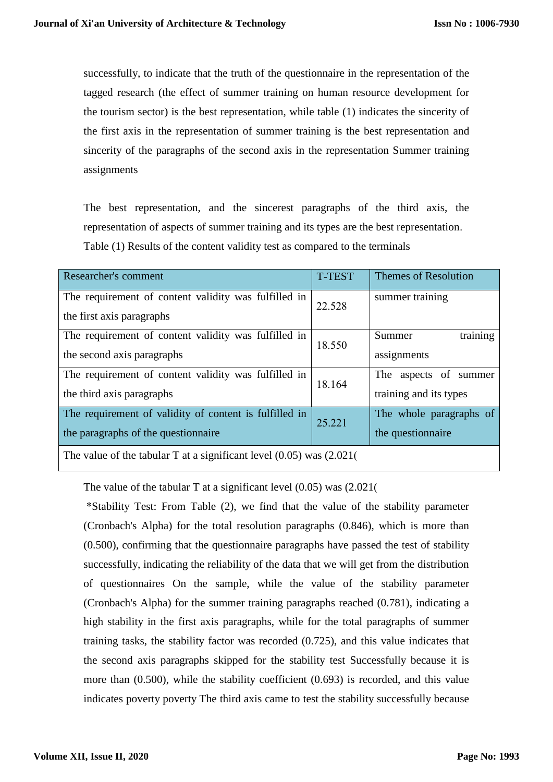successfully, to indicate that the truth of the questionnaire in the representation of the tagged research (the effect of summer training on human resource development for the tourism sector) is the best representation, while table (1) indicates the sincerity of the first axis in the representation of summer training is the best representation and sincerity of the paragraphs of the second axis in the representation Summer training assignments

The best representation, and the sincerest paragraphs of the third axis, the representation of aspects of summer training and its types are the best representation. Table (1) Results of the content validity test as compared to the terminals

| Researcher's comment                                                     | <b>T-TEST</b> | <b>Themes of Resolution</b> |  |  |
|--------------------------------------------------------------------------|---------------|-----------------------------|--|--|
| The requirement of content validity was fulfilled in                     | 22.528        | summer training             |  |  |
| the first axis paragraphs                                                |               |                             |  |  |
| The requirement of content validity was fulfilled in                     | 18.550        | training<br>Summer          |  |  |
| the second axis paragraphs                                               |               | assignments                 |  |  |
| The requirement of content validity was fulfilled in                     | 18.164        | The aspects of summer       |  |  |
| the third axis paragraphs                                                |               | training and its types      |  |  |
| The requirement of validity of content is fulfilled in                   | 25.221        | The whole paragraphs of     |  |  |
| the paragraphs of the question aire                                      |               | the question aire           |  |  |
| The value of the tabular T at a significant level $(0.05)$ was $(2.021)$ |               |                             |  |  |

The value of the tabular T at a significant level  $(0.05)$  was  $(2.021)$ 

 \*Stability Test: From Table (2), we find that the value of the stability parameter (Cronbach's Alpha) for the total resolution paragraphs (0.846), which is more than (0.500), confirming that the questionnaire paragraphs have passed the test of stability successfully, indicating the reliability of the data that we will get from the distribution of questionnaires On the sample, while the value of the stability parameter (Cronbach's Alpha) for the summer training paragraphs reached (0.781), indicating a high stability in the first axis paragraphs, while for the total paragraphs of summer training tasks, the stability factor was recorded (0.725), and this value indicates that the second axis paragraphs skipped for the stability test Successfully because it is more than (0.500), while the stability coefficient (0.693) is recorded, and this value indicates poverty poverty The third axis came to test the stability successfully because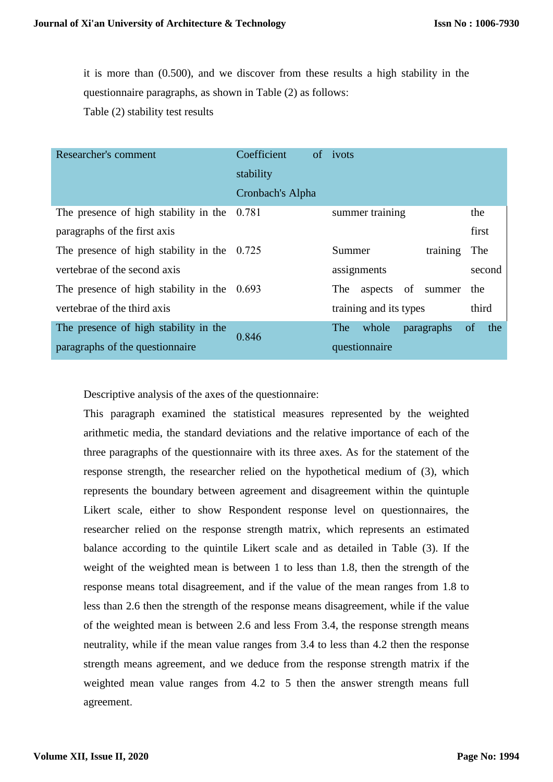it is more than (0.500), and we discover from these results a high stability in the questionnaire paragraphs, as shown in Table (2) as follows: Table (2) stability test results

| Researcher's comment                          | Coefficient      | of ivots                   |                      |
|-----------------------------------------------|------------------|----------------------------|----------------------|
|                                               | stability        |                            |                      |
|                                               | Cronbach's Alpha |                            |                      |
| The presence of high stability in the $0.781$ |                  | summer training            | the                  |
| paragraphs of the first axis                  |                  |                            | first                |
| The presence of high stability in the $0.725$ |                  | training<br>Summer         | The                  |
| vertebrae of the second axis                  |                  | assignments                | second               |
| The presence of high stability in the $0.693$ |                  | aspects of summer<br>The   | the                  |
| vertebrae of the third axis                   |                  | training and its types     | third                |
| The presence of high stability in the         | 0.846            | whole<br>paragraphs<br>The | the<br><sub>of</sub> |
| paragraphs of the question pair               | questionnaire    |                            |                      |

Descriptive analysis of the axes of the questionnaire:

This paragraph examined the statistical measures represented by the weighted arithmetic media, the standard deviations and the relative importance of each of the three paragraphs of the questionnaire with its three axes. As for the statement of the response strength, the researcher relied on the hypothetical medium of (3), which represents the boundary between agreement and disagreement within the quintuple Likert scale, either to show Respondent response level on questionnaires, the researcher relied on the response strength matrix, which represents an estimated balance according to the quintile Likert scale and as detailed in Table (3). If the weight of the weighted mean is between 1 to less than 1.8, then the strength of the response means total disagreement, and if the value of the mean ranges from 1.8 to less than 2.6 then the strength of the response means disagreement, while if the value of the weighted mean is between 2.6 and less From 3.4, the response strength means neutrality, while if the mean value ranges from 3.4 to less than 4.2 then the response strength means agreement, and we deduce from the response strength matrix if the weighted mean value ranges from 4.2 to 5 then the answer strength means full agreement.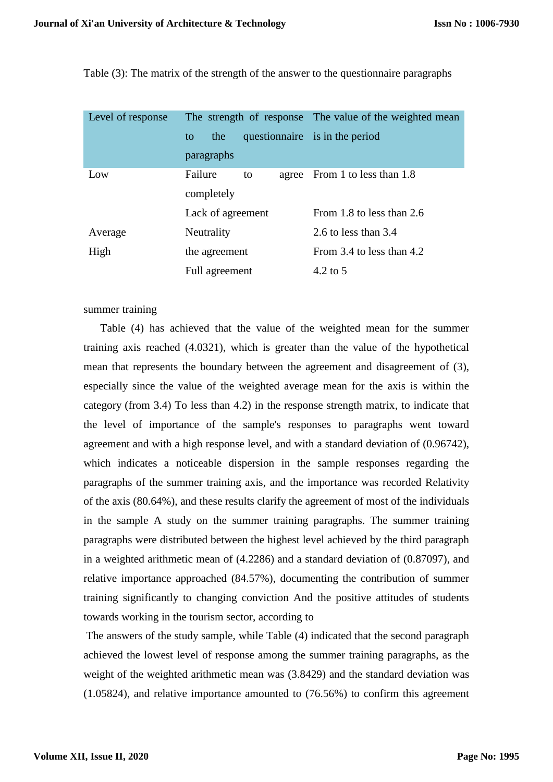Table (3): The matrix of the strength of the answer to the questionnaire paragraphs

| Level of response |                        | The strength of response The value of the weighted mean |  |
|-------------------|------------------------|---------------------------------------------------------|--|
|                   | the<br>to              | questionnaire is in the period                          |  |
|                   | paragraphs             |                                                         |  |
| Low               | Failure<br>to<br>agree | From 1 to less than 1.8                                 |  |
|                   | completely             |                                                         |  |
|                   | Lack of agreement      | From 1.8 to less than 2.6                               |  |
| Average           | Neutrality             | 2.6 to less than $3.4$                                  |  |
| High              | the agreement          | From 3.4 to less than 4.2                               |  |
|                   | Full agreement         | $4.2 \text{ to } 5$                                     |  |

## summer training

Table (4) has achieved that the value of the weighted mean for the summer training axis reached (4.0321), which is greater than the value of the hypothetical mean that represents the boundary between the agreement and disagreement of (3), especially since the value of the weighted average mean for the axis is within the category (from 3.4) To less than 4.2) in the response strength matrix, to indicate that the level of importance of the sample's responses to paragraphs went toward agreement and with a high response level, and with a standard deviation of (0.96742), which indicates a noticeable dispersion in the sample responses regarding the paragraphs of the summer training axis, and the importance was recorded Relativity of the axis (80.64%), and these results clarify the agreement of most of the individuals in the sample A study on the summer training paragraphs. The summer training paragraphs were distributed between the highest level achieved by the third paragraph in a weighted arithmetic mean of (4.2286) and a standard deviation of (0.87097), and relative importance approached (84.57%), documenting the contribution of summer training significantly to changing conviction And the positive attitudes of students towards working in the tourism sector, according to

The answers of the study sample, while Table (4) indicated that the second paragraph achieved the lowest level of response among the summer training paragraphs, as the weight of the weighted arithmetic mean was (3.8429) and the standard deviation was (1.05824), and relative importance amounted to (76.56%) to confirm this agreement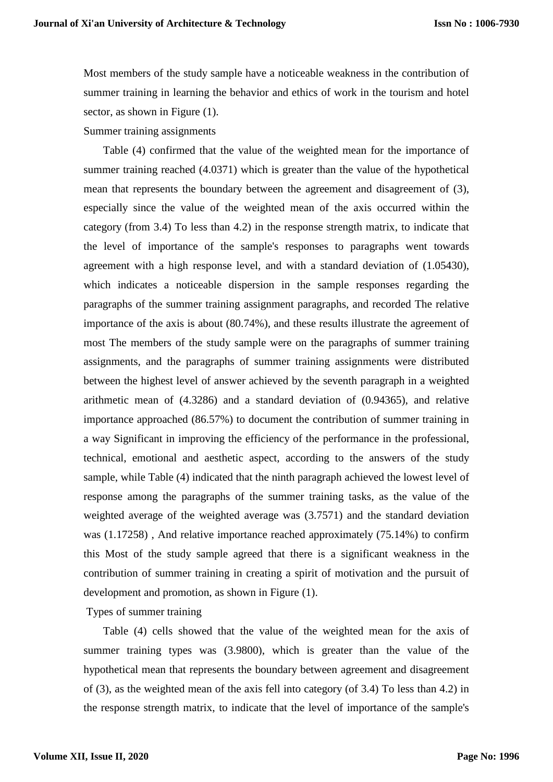Most members of the study sample have a noticeable weakness in the contribution of summer training in learning the behavior and ethics of work in the tourism and hotel sector, as shown in Figure  $(1)$ .

#### Summer training assignments

Table (4) confirmed that the value of the weighted mean for the importance of summer training reached (4.0371) which is greater than the value of the hypothetical mean that represents the boundary between the agreement and disagreement of (3), especially since the value of the weighted mean of the axis occurred within the category (from 3.4) To less than 4.2) in the response strength matrix, to indicate that the level of importance of the sample's responses to paragraphs went towards agreement with a high response level, and with a standard deviation of (1.05430), which indicates a noticeable dispersion in the sample responses regarding the paragraphs of the summer training assignment paragraphs, and recorded The relative importance of the axis is about (80.74%), and these results illustrate the agreement of most The members of the study sample were on the paragraphs of summer training assignments, and the paragraphs of summer training assignments were distributed between the highest level of answer achieved by the seventh paragraph in a weighted arithmetic mean of (4.3286) and a standard deviation of (0.94365), and relative importance approached (86.57%) to document the contribution of summer training in a way Significant in improving the efficiency of the performance in the professional, technical, emotional and aesthetic aspect, according to the answers of the study sample, while Table (4) indicated that the ninth paragraph achieved the lowest level of response among the paragraphs of the summer training tasks, as the value of the weighted average of the weighted average was (3.7571) and the standard deviation was (1.17258) , And relative importance reached approximately (75.14%) to confirm this Most of the study sample agreed that there is a significant weakness in the contribution of summer training in creating a spirit of motivation and the pursuit of development and promotion, as shown in Figure (1).

## Types of summer training

Table (4) cells showed that the value of the weighted mean for the axis of summer training types was (3.9800), which is greater than the value of the hypothetical mean that represents the boundary between agreement and disagreement of (3), as the weighted mean of the axis fell into category (of 3.4) To less than 4.2) in the response strength matrix, to indicate that the level of importance of the sample's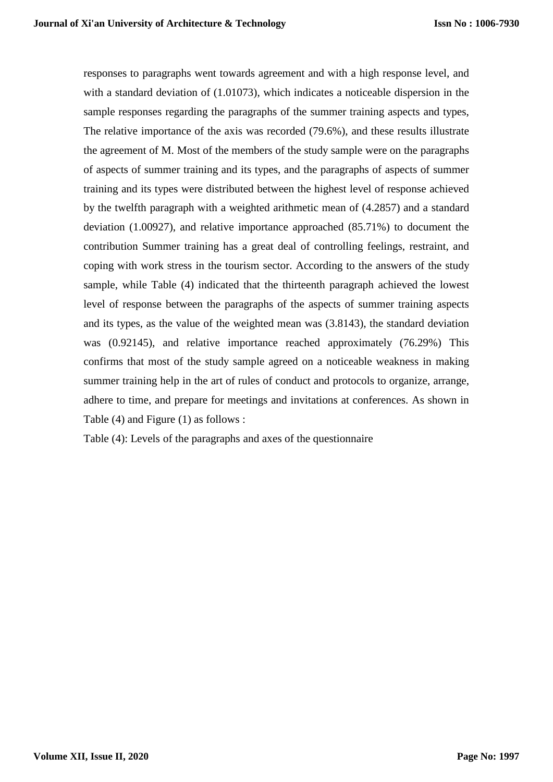responses to paragraphs went towards agreement and with a high response level, and with a standard deviation of (1.01073), which indicates a noticeable dispersion in the sample responses regarding the paragraphs of the summer training aspects and types, The relative importance of the axis was recorded (79.6%), and these results illustrate the agreement of M. Most of the members of the study sample were on the paragraphs of aspects of summer training and its types, and the paragraphs of aspects of summer training and its types were distributed between the highest level of response achieved by the twelfth paragraph with a weighted arithmetic mean of (4.2857) and a standard deviation (1.00927), and relative importance approached (85.71%) to document the contribution Summer training has a great deal of controlling feelings, restraint, and coping with work stress in the tourism sector. According to the answers of the study sample, while Table (4) indicated that the thirteenth paragraph achieved the lowest level of response between the paragraphs of the aspects of summer training aspects and its types, as the value of the weighted mean was (3.8143), the standard deviation was (0.92145), and relative importance reached approximately (76.29%) This confirms that most of the study sample agreed on a noticeable weakness in making summer training help in the art of rules of conduct and protocols to organize, arrange, adhere to time, and prepare for meetings and invitations at conferences. As shown in Table (4) and Figure (1) as follows :

Table (4): Levels of the paragraphs and axes of the questionnaire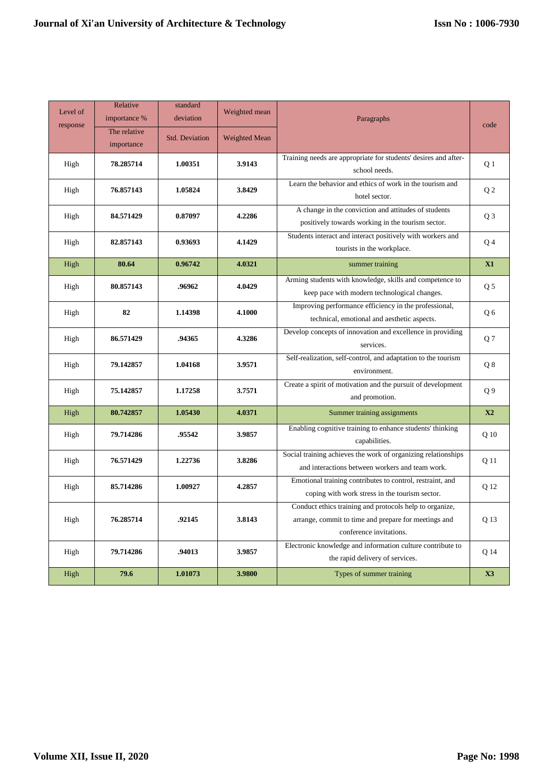| Level of<br>response | Relative<br>importance %   | standard<br>deviation | Weighted mean        | Paragraphs                                                                                                                                 | code           |
|----------------------|----------------------------|-----------------------|----------------------|--------------------------------------------------------------------------------------------------------------------------------------------|----------------|
|                      | The relative<br>importance | <b>Std. Deviation</b> | <b>Weighted Mean</b> |                                                                                                                                            |                |
| High                 | 78.285714                  | 1.00351               | 3.9143               | Training needs are appropriate for students' desires and after-<br>school needs.                                                           | Q <sub>1</sub> |
| High                 | 76.857143                  | 1.05824               | 3.8429               | Learn the behavior and ethics of work in the tourism and<br>hotel sector.                                                                  | Q <sub>2</sub> |
| High                 | 84.571429                  | 0.87097               | 4.2286               | A change in the conviction and attitudes of students<br>positively towards working in the tourism sector.                                  | Q <sub>3</sub> |
| High                 | 82.857143                  | 0.93693               | 4.1429               | Students interact and interact positively with workers and<br>tourists in the workplace.                                                   | Q4             |
| High                 | 80.64                      | 0.96742               | 4.0321               | summer training                                                                                                                            | X1             |
| High                 | 80.857143                  | .96962                | 4.0429               | Arming students with knowledge, skills and competence to<br>keep pace with modern technological changes.                                   | Q <sub>5</sub> |
| High                 | 82                         | 1.14398               | 4.1000               | Improving performance efficiency in the professional,<br>technical, emotional and aesthetic aspects.                                       | Q6             |
| High                 | 86.571429                  | .94365                | 4.3286               | Develop concepts of innovation and excellence in providing<br>services.                                                                    | Q7             |
| High                 | 79.142857                  | 1.04168               | 3.9571               | Self-realization, self-control, and adaptation to the tourism<br>environment.                                                              | Q8             |
| High                 | 75.142857                  | 1.17258               | 3.7571               | Create a spirit of motivation and the pursuit of development<br>and promotion.                                                             | Q <sub>9</sub> |
| High                 | 80.742857                  | 1.05430               | 4.0371               | Summer training assignments                                                                                                                | X2             |
| High                 | 79.714286                  | .95542                | 3.9857               | Enabling cognitive training to enhance students' thinking<br>capabilities.                                                                 | Q 10           |
| High                 | 76.571429                  | 1.22736               | 3.8286               | Social training achieves the work of organizing relationships<br>and interactions between workers and team work.                           | Q 11           |
| High                 | 85.714286                  | 1.00927               | 4.2857               | Emotional training contributes to control, restraint, and<br>coping with work stress in the tourism sector.                                | Q 12           |
| High                 | 76.285714                  | .92145                | 3.8143               | Conduct ethics training and protocols help to organize,<br>arrange, commit to time and prepare for meetings and<br>conference invitations. | Q 13           |
| High                 | 79.714286                  | .94013                | 3.9857               | Electronic knowledge and information culture contribute to<br>the rapid delivery of services.                                              | Q 14           |
| High                 | 79.6                       | 1.01073               | 3.9800               | Types of summer training                                                                                                                   | X3             |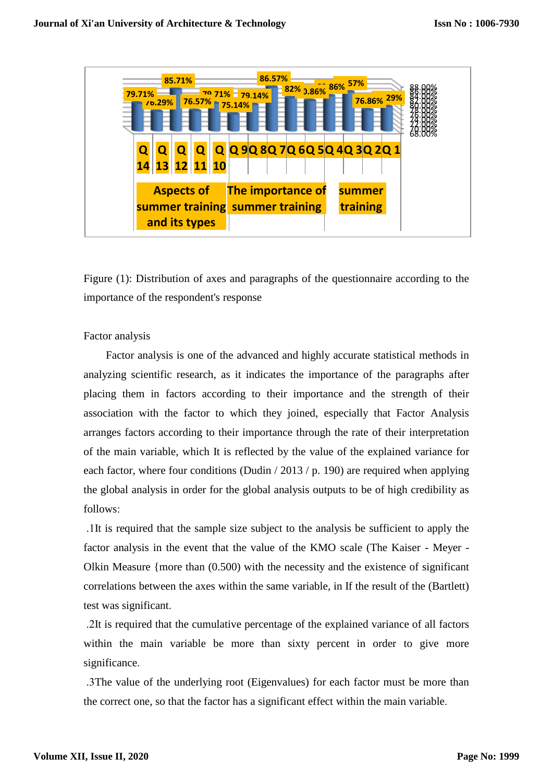

Figure (1): Distribution of axes and paragraphs of the questionnaire according to the importance of the respondent's response

Factor analysis

Factor analysis is one of the advanced and highly accurate statistical methods in analyzing scientific research, as it indicates the importance of the paragraphs after placing them in factors according to their importance and the strength of their association with the factor to which they joined, especially that Factor Analysis arranges factors according to their importance through the rate of their interpretation of the main variable, which It is reflected by the value of the explained variance for each factor, where four conditions (Dudin / 2013 / p. 190) are required when applying the global analysis in order for the global analysis outputs to be of high credibility as follows:

 .1It is required that the sample size subject to the analysis be sufficient to apply the factor analysis in the event that the value of the KMO scale (The Kaiser - Meyer - Olkin Measure {more than (0.500) with the necessity and the existence of significant correlations between the axes within the same variable, in If the result of the (Bartlett) test was significant.

 .2It is required that the cumulative percentage of the explained variance of all factors within the main variable be more than sixty percent in order to give more significance.

 .3The value of the underlying root (Eigenvalues) for each factor must be more than the correct one, so that the factor has a significant effect within the main variable.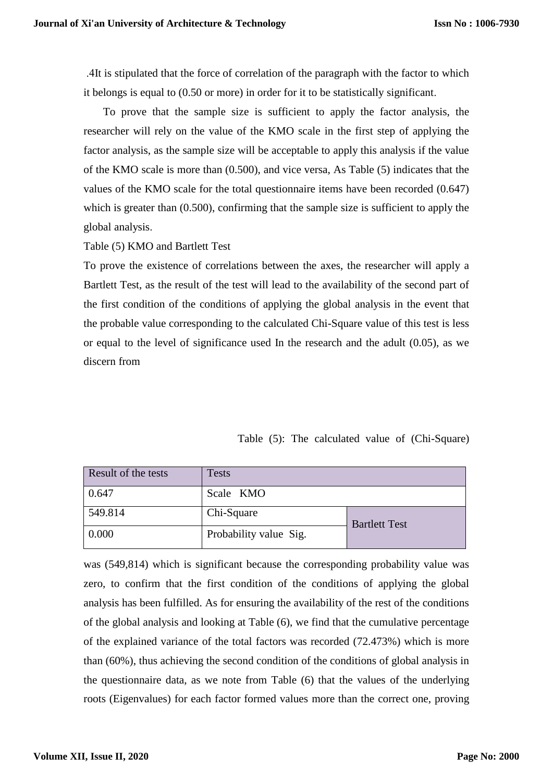.4It is stipulated that the force of correlation of the paragraph with the factor to which it belongs is equal to (0.50 or more) in order for it to be statistically significant.

To prove that the sample size is sufficient to apply the factor analysis, the researcher will rely on the value of the KMO scale in the first step of applying the factor analysis, as the sample size will be acceptable to apply this analysis if the value of the KMO scale is more than (0.500), and vice versa, As Table (5) indicates that the values of the KMO scale for the total questionnaire items have been recorded (0.647) which is greater than  $(0.500)$ , confirming that the sample size is sufficient to apply the global analysis.

Table (5) KMO and Bartlett Test

To prove the existence of correlations between the axes, the researcher will apply a Bartlett Test, as the result of the test will lead to the availability of the second part of the first condition of the conditions of applying the global analysis in the event that the probable value corresponding to the calculated Chi-Square value of this test is less or equal to the level of significance used In the research and the adult (0.05), as we discern from

|  |  |  |  |  |  | Table (5): The calculated value of (Chi-Square) |
|--|--|--|--|--|--|-------------------------------------------------|
|--|--|--|--|--|--|-------------------------------------------------|

| Result of the tests | Tests                  |                      |  |
|---------------------|------------------------|----------------------|--|
| 0.647               | Scale KMO              |                      |  |
| 549.814             | Chi-Square             | <b>Bartlett Test</b> |  |
| 0.000               | Probability value Sig. |                      |  |

was (549,814) which is significant because the corresponding probability value was zero, to confirm that the first condition of the conditions of applying the global analysis has been fulfilled. As for ensuring the availability of the rest of the conditions of the global analysis and looking at Table (6), we find that the cumulative percentage of the explained variance of the total factors was recorded (72.473%) which is more than (60%), thus achieving the second condition of the conditions of global analysis in the questionnaire data, as we note from Table (6) that the values of the underlying roots (Eigenvalues) for each factor formed values more than the correct one, proving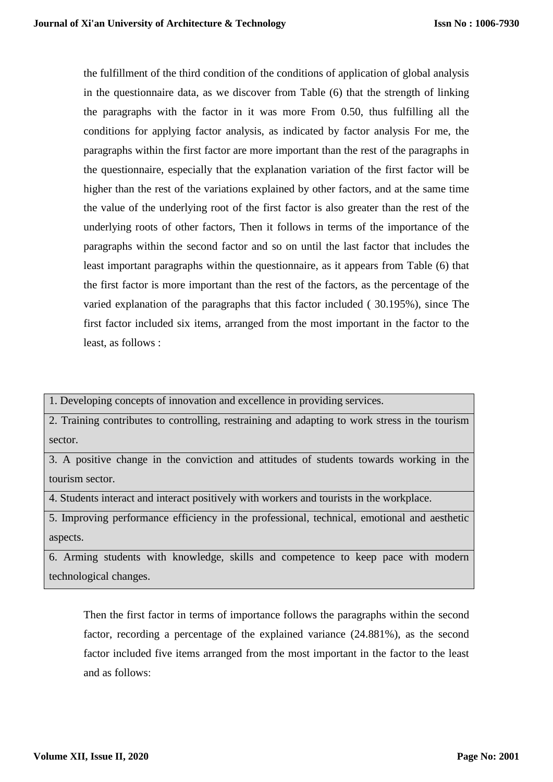the fulfillment of the third condition of the conditions of application of global analysis in the questionnaire data, as we discover from Table (6) that the strength of linking the paragraphs with the factor in it was more From 0.50, thus fulfilling all the conditions for applying factor analysis, as indicated by factor analysis For me, the paragraphs within the first factor are more important than the rest of the paragraphs in the questionnaire, especially that the explanation variation of the first factor will be higher than the rest of the variations explained by other factors, and at the same time the value of the underlying root of the first factor is also greater than the rest of the underlying roots of other factors, Then it follows in terms of the importance of the paragraphs within the second factor and so on until the last factor that includes the least important paragraphs within the questionnaire, as it appears from Table (6) that the first factor is more important than the rest of the factors, as the percentage of the varied explanation of the paragraphs that this factor included ( 30.195%), since The first factor included six items, arranged from the most important in the factor to the least, as follows :

1. Developing concepts of innovation and excellence in providing services.

2. Training contributes to controlling, restraining and adapting to work stress in the tourism sector.

3. A positive change in the conviction and attitudes of students towards working in the tourism sector.

4. Students interact and interact positively with workers and tourists in the workplace.

5. Improving performance efficiency in the professional, technical, emotional and aesthetic aspects.

6. Arming students with knowledge, skills and competence to keep pace with modern technological changes.

Then the first factor in terms of importance follows the paragraphs within the second factor, recording a percentage of the explained variance (24.881%), as the second factor included five items arranged from the most important in the factor to the least and as follows: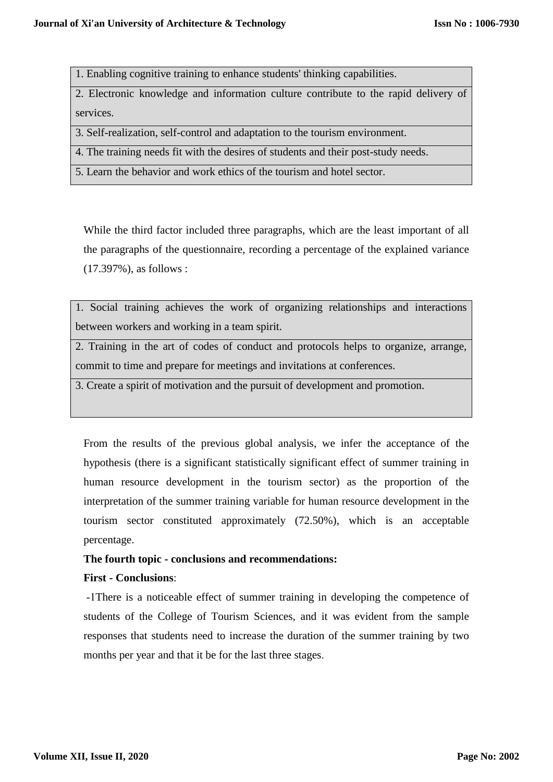1. Enabling cognitive training to enhance students' thinking capabilities.

2. Electronic knowledge and information culture contribute to the rapid delivery of services.

3. Self-realization, self-control and adaptation to the tourism environment.

4. The training needs fit with the desires of students and their post-study needs.

5. Learn the behavior and work ethics of the tourism and hotel sector.

While the third factor included three paragraphs, which are the least important of all the paragraphs of the questionnaire, recording a percentage of the explained variance (17.397%), as follows :

1. Social training achieves the work of organizing relationships and interactions between workers and working in a team spirit.

2. Training in the art of codes of conduct and protocols helps to organize, arrange, commit to time and prepare for meetings and invitations at conferences.

3. Create a spirit of motivation and the pursuit of development and promotion.

From the results of the previous global analysis, we infer the acceptance of the hypothesis (there is a significant statistically significant effect of summer training in human resource development in the tourism sector) as the proportion of the interpretation of the summer training variable for human resource development in the tourism sector constituted approximately (72.50%), which is an acceptable percentage.

# **The fourth topic - conclusions and recommendations:**

# **First - Conclusions**:

-1There is a noticeable effect of summer training in developing the competence of students of the College of Tourism Sciences, and it was evident from the sample responses that students need to increase the duration of the summer training by two months per year and that it be for the last three stages.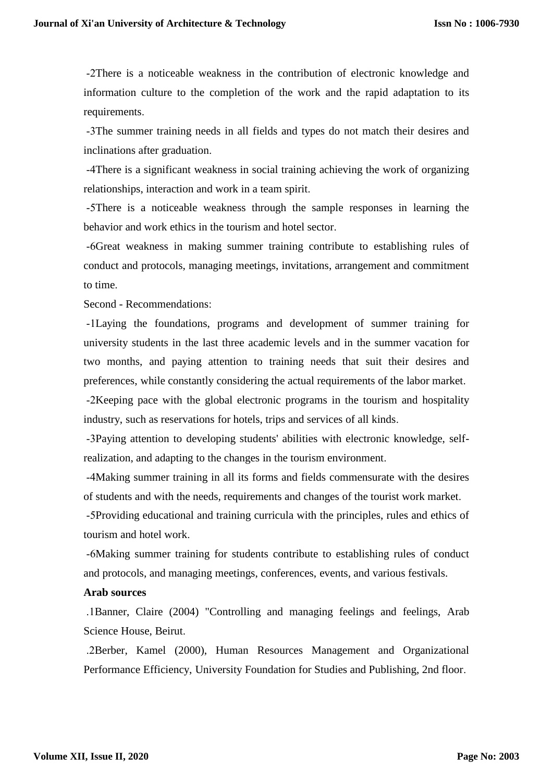-2There is a noticeable weakness in the contribution of electronic knowledge and information culture to the completion of the work and the rapid adaptation to its requirements.

-3The summer training needs in all fields and types do not match their desires and inclinations after graduation.

-4There is a significant weakness in social training achieving the work of organizing relationships, interaction and work in a team spirit.

-5There is a noticeable weakness through the sample responses in learning the behavior and work ethics in the tourism and hotel sector.

-6Great weakness in making summer training contribute to establishing rules of conduct and protocols, managing meetings, invitations, arrangement and commitment to time.

Second - Recommendations:

-1Laying the foundations, programs and development of summer training for university students in the last three academic levels and in the summer vacation for two months, and paying attention to training needs that suit their desires and preferences, while constantly considering the actual requirements of the labor market.

-2Keeping pace with the global electronic programs in the tourism and hospitality industry, such as reservations for hotels, trips and services of all kinds.

-3Paying attention to developing students' abilities with electronic knowledge, selfrealization, and adapting to the changes in the tourism environment.

-4Making summer training in all its forms and fields commensurate with the desires of students and with the needs, requirements and changes of the tourist work market.

-5Providing educational and training curricula with the principles, rules and ethics of tourism and hotel work.

-6Making summer training for students contribute to establishing rules of conduct and protocols, and managing meetings, conferences, events, and various festivals.

## **Arab sources**

 .1Banner, Claire (2004) "Controlling and managing feelings and feelings, Arab Science House, Beirut.

 .2Berber, Kamel (2000), Human Resources Management and Organizational Performance Efficiency, University Foundation for Studies and Publishing, 2nd floor.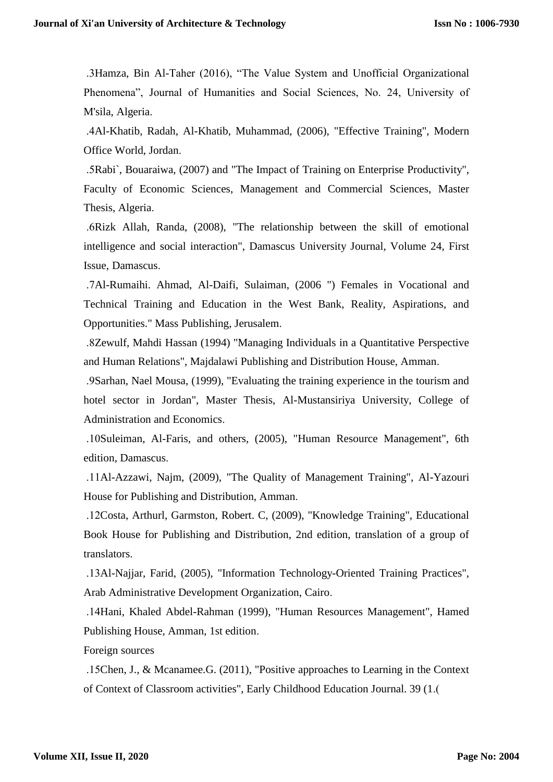.3Hamza, Bin Al-Taher (2016), "The Value System and Unofficial Organizational Phenomena", Journal of Humanities and Social Sciences, No. 24, University of M'sila, Algeria.

 .4Al-Khatib, Radah, Al-Khatib, Muhammad, (2006), "Effective Training", Modern Office World, Jordan.

 .5Rabi`, Bouaraiwa, (2007) and "The Impact of Training on Enterprise Productivity", Faculty of Economic Sciences, Management and Commercial Sciences, Master Thesis, Algeria.

 .6Rizk Allah, Randa, (2008), "The relationship between the skill of emotional intelligence and social interaction", Damascus University Journal, Volume 24, First Issue, Damascus.

 .7Al-Rumaihi. Ahmad, Al-Daifi, Sulaiman, (2006 ") Females in Vocational and Technical Training and Education in the West Bank, Reality, Aspirations, and Opportunities." Mass Publishing, Jerusalem.

 .8Zewulf, Mahdi Hassan (1994) "Managing Individuals in a Quantitative Perspective and Human Relations", Majdalawi Publishing and Distribution House, Amman.

 .9Sarhan, Nael Mousa, (1999), "Evaluating the training experience in the tourism and hotel sector in Jordan", Master Thesis, Al-Mustansiriya University, College of Administration and Economics.

 .10Suleiman, Al-Faris, and others, (2005), "Human Resource Management", 6th edition, Damascus.

 .11Al-Azzawi, Najm, (2009), "The Quality of Management Training", Al-Yazouri House for Publishing and Distribution, Amman.

 .12Costa, Arthurl, Garmston, Robert. C, (2009), "Knowledge Training", Educational Book House for Publishing and Distribution, 2nd edition, translation of a group of translators.

 .13Al-Najjar, Farid, (2005), "Information Technology-Oriented Training Practices", Arab Administrative Development Organization, Cairo.

 .14Hani, Khaled Abdel-Rahman (1999), "Human Resources Management", Hamed Publishing House, Amman, 1st edition.

Foreign sources

 .15Chen, J., & Mcanamee.G. (2011), "Positive approaches to Learning in the Context of Context of Classroom activities", Early Childhood Education Journal. 39 (1.)